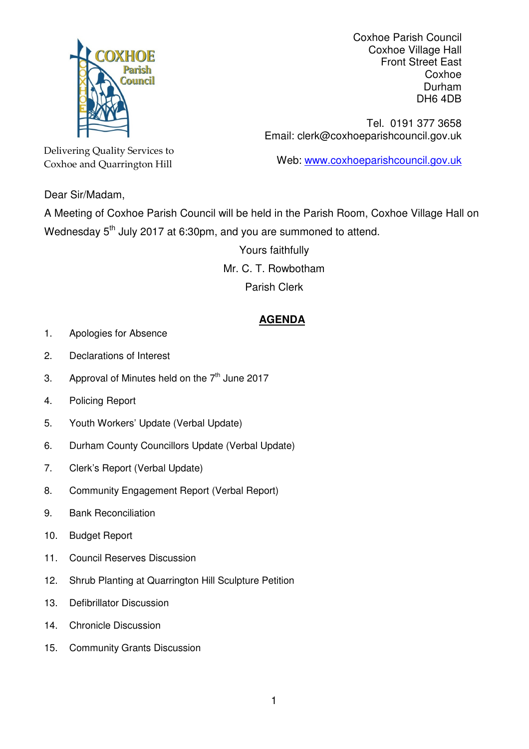

Coxhoe Parish Council Coxhoe Village Hall Front Street East Coxhoe Durham DH6 4DB

Tel. 0191 377 3658 Email: clerk@coxhoeparishcouncil.gov.uk

Web: www.coxhoeparishcouncil.gov.uk

Delivering Quality Services to Coxhoe and Quarrington Hill

Dear Sir/Madam,

A Meeting of Coxhoe Parish Council will be held in the Parish Room, Coxhoe Village Hall on Wednesday  $5<sup>th</sup>$  July 2017 at 6:30pm, and you are summoned to attend.

> Yours faithfully Mr. C. T. Rowbotham Parish Clerk

## **AGENDA**

- 1. Apologies for Absence
- 2. Declarations of Interest
- 3. Approval of Minutes held on the  $7<sup>th</sup>$  June 2017
- 4. Policing Report
- 5. Youth Workers' Update (Verbal Update)
- 6. Durham County Councillors Update (Verbal Update)
- 7. Clerk's Report (Verbal Update)
- 8. Community Engagement Report (Verbal Report)
- 9. Bank Reconciliation
- 10. Budget Report
- 11. Council Reserves Discussion
- 12. Shrub Planting at Quarrington Hill Sculpture Petition
- 13. Defibrillator Discussion
- 14. Chronicle Discussion
- 15. Community Grants Discussion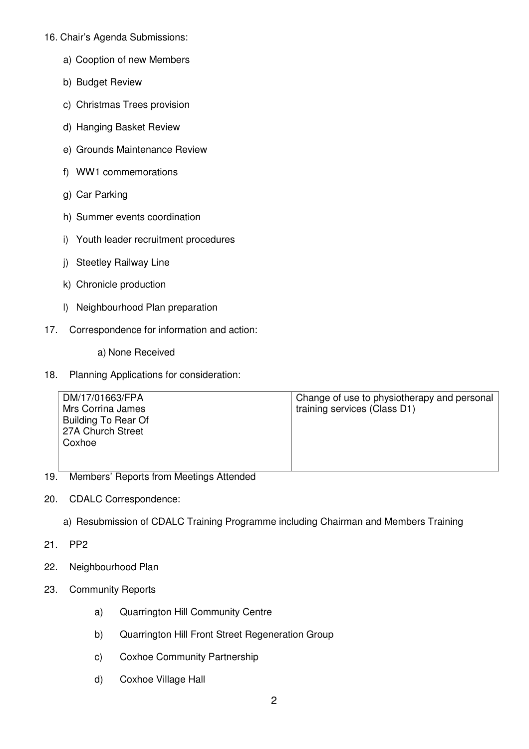- 16. Chair's Agenda Submissions:
	- a) Cooption of new Members
	- b) Budget Review
	- c) Christmas Trees provision
	- d) Hanging Basket Review
	- e) Grounds Maintenance Review
	- f) WW1 commemorations
	- g) Car Parking
	- h) Summer events coordination
	- i) Youth leader recruitment procedures
	- j) Steetley Railway Line
	- k) Chronicle production
	- l) Neighbourhood Plan preparation
- 17. Correspondence for information and action:
	- a) None Received
- 18. Planning Applications for consideration:

| DM/17/01663/FPA<br>Mrs Corrina James<br>Building To Rear Of<br>27A Church Street | Change of use to physiotherapy and personal<br>training services (Class D1) |
|----------------------------------------------------------------------------------|-----------------------------------------------------------------------------|
| Coxhoe                                                                           |                                                                             |

- 19. Members' Reports from Meetings Attended
- 20. CDALC Correspondence:
	- a) Resubmission of CDALC Training Programme including Chairman and Members Training
- 21. PP2
- 22. Neighbourhood Plan
- 23. Community Reports
	- a) Quarrington Hill Community Centre
	- b) Quarrington Hill Front Street Regeneration Group
	- c) Coxhoe Community Partnership
	- d) Coxhoe Village Hall